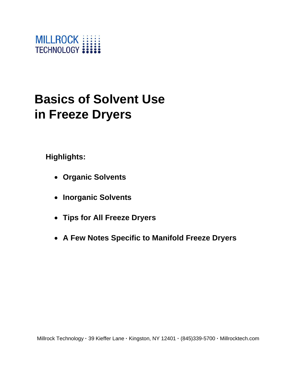

# **Basics of Solvent Use in Freeze Dryers**

**Highlights:**

- **Organic Solvents**
- **Inorganic Solvents**
- **Tips for All Freeze Dryers**
- **A Few Notes Specific to Manifold Freeze Dryers**

Millrock Technology **·** 39 Kieffer Lane **·** Kingston, NY 12401 **·** (845)339-5700 **·** Millrocktech.com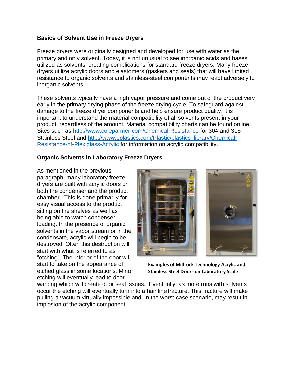# **Basics of Solvent Use in Freeze Dryers**

Freeze dryers were originally designed and developed for use with water as the primary and only solvent. Today, it is not unusual to see inorganic acids and bases utilized as solvents, creating complications for standard freeze dryers. Many freeze dryers utilize acrylic doors and elastomers (gaskets and seals) that will have limited resistance to organic solvents and stainless-steel components may react adversely to inorganic solvents.

These solvents typically have a high vapor pressure and come out of the product very early in the primary drying phase of the freeze drying cycle. To safeguard against damage to the freeze dryer components and help ensure product quality, it is important to understand the material compatibility of all solvents present in your product, regardless of the amount. Material compatibility charts can be found online. Sites such as<http://www.coleparmer.com/Chemical-Resistance> for 304 and 316 Stainless Steel and [http://www.eplastics.com/Plastic/plastics\\_library/Chemical-](http://www.eplastics.com/Plastic/plastics_library/Chemical-Resistance-of-Plexiglass-Acrylic)[Resistance-of-Plexiglass-Acrylic f](http://www.eplastics.com/Plastic/plastics_library/Chemical-Resistance-of-Plexiglass-Acrylic)or information on acrylic compatibility.

# **Organic Solvents in Laboratory Freeze Dryers**

As mentioned in the previous paragraph, many laboratory freeze dryers are built with acrylic doors on both the condenser and the product chamber. This is done primarily for easy visual access to the product sitting on the shelves as well as being able to watch condenser loading. In the presence of organic solvents in the vapor stream or in the condensate, acrylic will begin to be destroyed. Often this destruction will start with what is referred to as "etching". The interior of the door will start to take on the appearance of etched glass in some locations. Minor etching will eventually lead to door



**Examples of Millrock Technology Acrylic and Stainless Steel Doors on Laboratory Scale** 

warping which will create door seal issues. Eventually, as more runs with solvents occur the etching will eventually turn into a hair line fracture. This fracture will make pulling a vacuum virtually impossible and, in the worst-case scenario, may result in implosion of the acrylic component.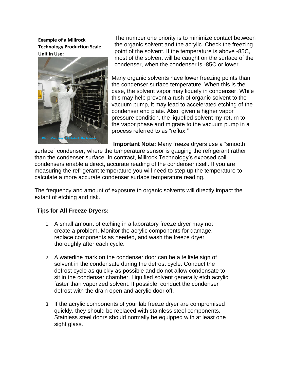**Example of a Millrock Technology Production Scale Unit in Use:**



The number one priority is to minimize contact between the organic solvent and the acrylic. Check the freezing point of the solvent. If the temperature is above -85C, most of the solvent will be caught on the surface of the condenser, when the condenser is -85C or lower.

Many organic solvents have lower freezing points than the condenser surface temperature. When this is the case, the solvent vapor may liquefy in condenser. While this may help prevent a rush of organic solvent to the vacuum pump, it may lead to accelerated etching of the condenser end plate. Also, given a higher vapor pressure condition, the liquefied solvent my return to the vapor phase and migrate to the vacuum pump in a process referred to as "reflux."

**Important Note:** Many freeze dryers use a "smooth

surface" condenser, where the temperature sensor is gauging the refrigerant rather than the condenser surface. In contrast, Millrock Technology's exposed coil condensers enable a direct, accurate reading of the condenser itself. If you are measuring the refrigerant temperature you will need to step up the temperature to calculate a more accurate condenser surface temperature reading.

The frequency and amount of exposure to organic solvents will directly impact the extant of etching and risk.

#### **Tips for All Freeze Dryers:**

- 1. A small amount of etching in a laboratory freeze dryer may not create a problem. Monitor the acrylic components for damage, replace components as needed, and wash the freeze dryer thoroughly after each cycle.
- 2. A waterline mark on the condenser door can be a telltale sign of solvent in the condensate during the defrost cycle. Conduct the defrost cycle as quickly as possible and do not allow condensate to sit in the condenser chamber. Liquified solvent generally etch acrylic faster than vaporized solvent. If possible, conduct the condenser defrost with the drain open and acrylic door off.
- 3. If the acrylic components of your lab freeze dryer are compromised quickly, they should be replaced with stainless steel components. Stainless steel doors should normally be equipped with at least one sight glass.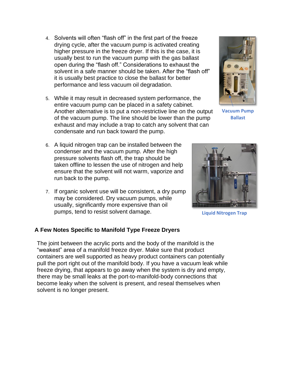- 4. Solvents will often "flash off" in the first part of the freeze drying cycle, after the vacuum pump is activated creating higher pressure in the freeze dryer. If this is the case, it is usually best to run the vacuum pump with the gas ballast open during the "flash off." Considerations to exhaust the solvent in a safe manner should be taken. After the "flash off" it is usually best practice to close the ballast for better performance and less vacuum oil degradation.
- 5. While it may result in decreased system performance, the entire vacuum pump can be placed in a safety cabinet. Another alternative is to put a non-restrictive line on the output of the vacuum pump. The line should be lower than the pump exhaust and may include a trap to catch any solvent that can condensate and run back toward the pump.
- 6. A liquid nitrogen trap can be installed between the condenser and the vacuum pump. After the high pressure solvents flash off, the trap should be taken offline to lessen the use of nitrogen and help ensure that the solvent will not warm, vaporize and run back to the pump.
- 7. If organic solvent use will be consistent, a dry pump may be considered. Dry vacuum pumps, while usually, significantly more expensive than oil pumps, tend to resist solvent damage.

# **A Few Notes Specific to Manifold Type Freeze Dryers**

The joint between the acrylic ports and the body of the manifold is the "weakest" area of a manifold freeze dryer. Make sure that product containers are well supported as heavy product containers can potentially pull the port right out of the manifold body. If you have a vacuum leak while freeze drying, that appears to go away when the system is dry and empty, there may be small leaks at the port-to-manifold-body connections that become leaky when the solvent is present, and reseal themselves when solvent is no longer present.



**Vacuum Pump Ballast**



**Liquid Nitrogen Trap**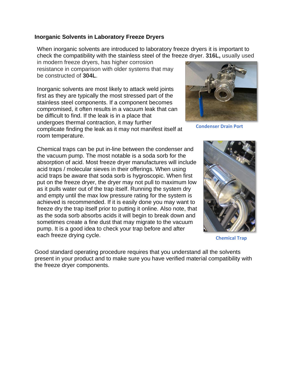# **Inorganic Solvents in Laboratory Freeze Dryers**

When inorganic solvents are introduced to laboratory freeze dryers it is important to check the compatibility with the stainless steel of the freeze dryer. **316L,** usually used

in modern freeze dryers, has higher corrosion resistance in comparison with older systems that may be constructed of **304L**.

Inorganic solvents are most likely to attack weld joints first as they are typically the most stressed part of the stainless steel components. If a component becomes compromised, it often results in a vacuum leak that can be difficult to find. If the leak is in a place that undergoes thermal contraction, it may further complicate finding the leak as it may not manifest itself at room temperature.

Chemical traps can be put in-line between the condenser and the vacuum pump. The most notable is a soda sorb for the absorption of acid. Most freeze dryer manufactures will include acid traps / molecular sieves in their offerings. When using acid traps be aware that soda sorb is hygroscopic. When first put on the freeze dryer, the dryer may not pull to maximum low as it pulls water out of the trap itself. Running the system dry and empty until the max low pressure rating for the system is achieved is recommended. If it is easily done you may want to freeze dry the trap itself prior to putting it online. Also note, that as the soda sorb absorbs acids it will begin to break down and sometimes create a fine dust that may migrate to the vacuum pump. It is a good idea to check your trap before and after each freeze drying cycle.

Good standard operating procedure requires that you understand all the solvents present in your product and to make sure you have verified material compatibility with the freeze dryer components.



**Condenser Drain Port**



**Chemical Trap**